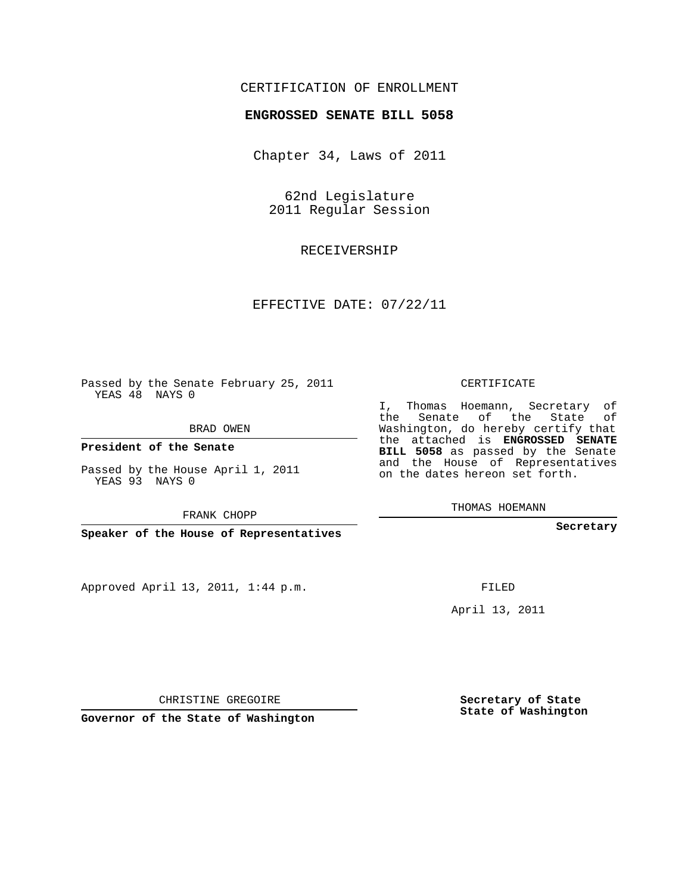### CERTIFICATION OF ENROLLMENT

#### **ENGROSSED SENATE BILL 5058**

Chapter 34, Laws of 2011

62nd Legislature 2011 Regular Session

RECEIVERSHIP

#### EFFECTIVE DATE: 07/22/11

Passed by the Senate February 25, 2011 YEAS 48 NAYS 0

BRAD OWEN

**President of the Senate**

Passed by the House April 1, 2011 YEAS 93 NAYS 0

FRANK CHOPP

**Speaker of the House of Representatives**

Approved April 13, 2011, 1:44 p.m.

CERTIFICATE

I, Thomas Hoemann, Secretary of the Senate of the State of Washington, do hereby certify that the attached is **ENGROSSED SENATE BILL 5058** as passed by the Senate and the House of Representatives on the dates hereon set forth.

THOMAS HOEMANN

**Secretary**

FILED

April 13, 2011

CHRISTINE GREGOIRE

**Governor of the State of Washington**

**Secretary of State State of Washington**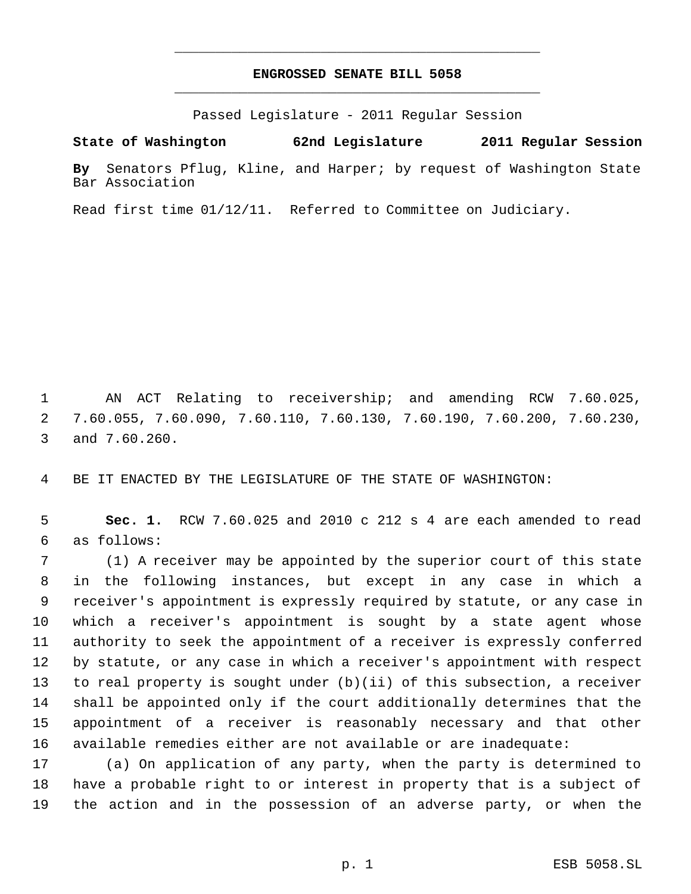## **ENGROSSED SENATE BILL 5058** \_\_\_\_\_\_\_\_\_\_\_\_\_\_\_\_\_\_\_\_\_\_\_\_\_\_\_\_\_\_\_\_\_\_\_\_\_\_\_\_\_\_\_\_\_

\_\_\_\_\_\_\_\_\_\_\_\_\_\_\_\_\_\_\_\_\_\_\_\_\_\_\_\_\_\_\_\_\_\_\_\_\_\_\_\_\_\_\_\_\_

Passed Legislature - 2011 Regular Session

**State of Washington 62nd Legislature 2011 Regular Session By** Senators Pflug, Kline, and Harper; by request of Washington State Bar Association

Read first time 01/12/11. Referred to Committee on Judiciary.

 AN ACT Relating to receivership; and amending RCW 7.60.025, 7.60.055, 7.60.090, 7.60.110, 7.60.130, 7.60.190, 7.60.200, 7.60.230, and 7.60.260.

BE IT ENACTED BY THE LEGISLATURE OF THE STATE OF WASHINGTON:

 **Sec. 1.** RCW 7.60.025 and 2010 c 212 s 4 are each amended to read as follows:

 (1) A receiver may be appointed by the superior court of this state in the following instances, but except in any case in which a receiver's appointment is expressly required by statute, or any case in which a receiver's appointment is sought by a state agent whose authority to seek the appointment of a receiver is expressly conferred by statute, or any case in which a receiver's appointment with respect to real property is sought under (b)(ii) of this subsection, a receiver shall be appointed only if the court additionally determines that the appointment of a receiver is reasonably necessary and that other available remedies either are not available or are inadequate:

 (a) On application of any party, when the party is determined to have a probable right to or interest in property that is a subject of the action and in the possession of an adverse party, or when the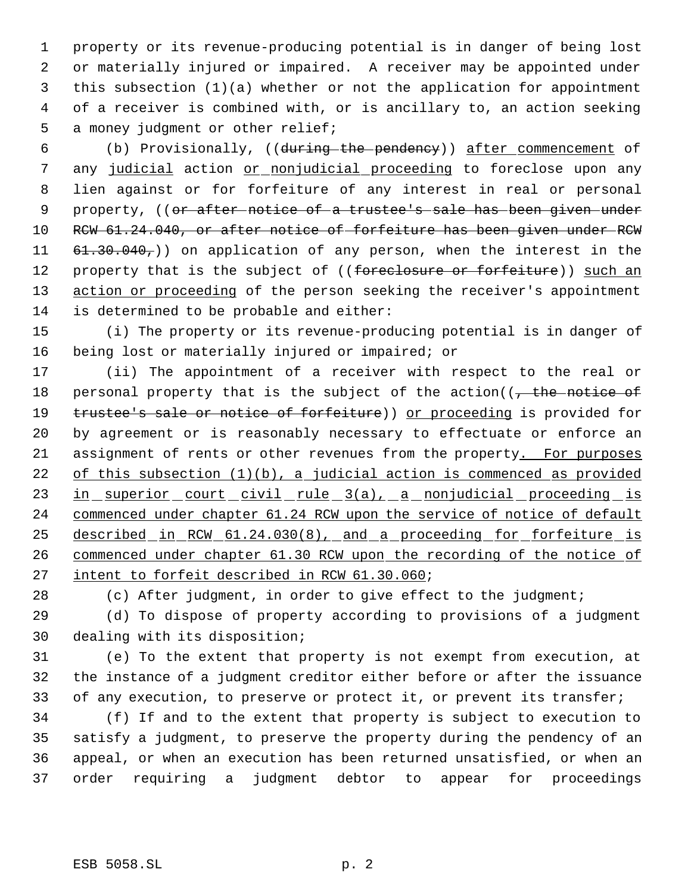property or its revenue-producing potential is in danger of being lost or materially injured or impaired. A receiver may be appointed under this subsection (1)(a) whether or not the application for appointment of a receiver is combined with, or is ancillary to, an action seeking a money judgment or other relief;

 (b) Provisionally, ((during the pendency)) after commencement of any judicial action or nonjudicial proceeding to foreclose upon any lien against or for forfeiture of any interest in real or personal 9 property, ((<del>or after notice of a trustee's sale has been given under</del> RCW 61.24.040, or after notice of forfeiture has been given under RCW  $61.30.040<sub>7</sub>$ ) on application of any person, when the interest in the 12 property that is the subject of ((foreclosure or forfeiture)) such an 13 action or proceeding of the person seeking the receiver's appointment is determined to be probable and either:

 (i) The property or its revenue-producing potential is in danger of being lost or materially injured or impaired; or

 (ii) The appointment of a receiver with respect to the real or 18 personal property that is the subject of the action( $\sqrt{ }$ , the notice of 19 trustee's sale or notice of forfeiture)) or proceeding is provided for by agreement or is reasonably necessary to effectuate or enforce an 21 assignment of rents or other revenues from the property. For purposes of this subsection (1)(b), a judicial action is commenced as provided 23 in superior court civil rule 3(a), a nonjudicial proceeding is commenced under chapter 61.24 RCW upon the service of notice of default 25 described in RCW 61.24.030(8), and a proceeding for forfeiture is commenced under chapter 61.30 RCW upon the recording of the notice of 27 intent to forfeit described in RCW 61.30.060;

28 (c) After judgment, in order to give effect to the judgment;

 (d) To dispose of property according to provisions of a judgment dealing with its disposition;

 (e) To the extent that property is not exempt from execution, at the instance of a judgment creditor either before or after the issuance 33 of any execution, to preserve or protect it, or prevent its transfer;

 (f) If and to the extent that property is subject to execution to satisfy a judgment, to preserve the property during the pendency of an appeal, or when an execution has been returned unsatisfied, or when an order requiring a judgment debtor to appear for proceedings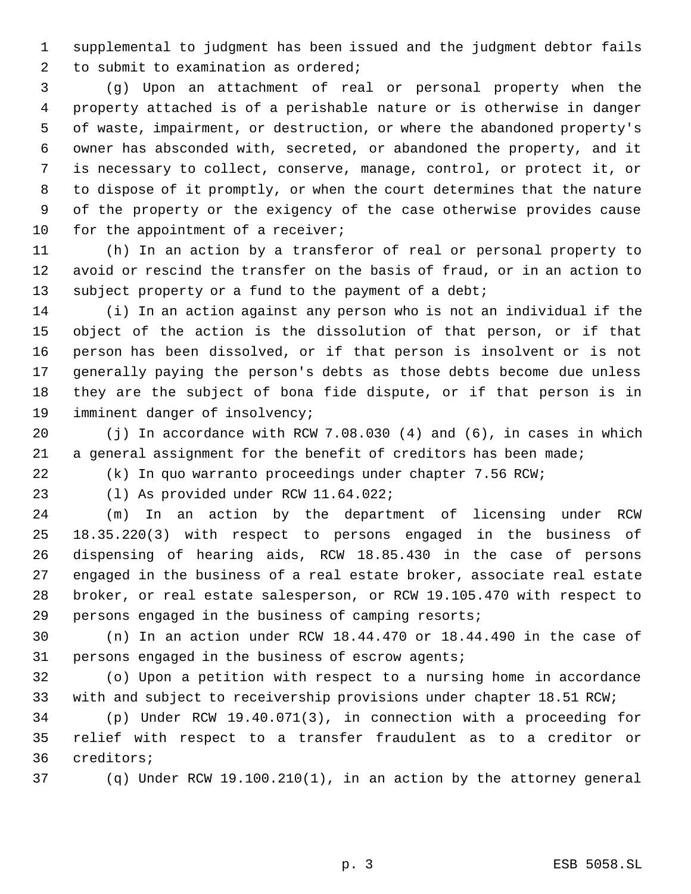supplemental to judgment has been issued and the judgment debtor fails to submit to examination as ordered;

 (g) Upon an attachment of real or personal property when the property attached is of a perishable nature or is otherwise in danger of waste, impairment, or destruction, or where the abandoned property's owner has absconded with, secreted, or abandoned the property, and it is necessary to collect, conserve, manage, control, or protect it, or to dispose of it promptly, or when the court determines that the nature of the property or the exigency of the case otherwise provides cause 10 for the appointment of a receiver;

 (h) In an action by a transferor of real or personal property to avoid or rescind the transfer on the basis of fraud, or in an action to 13 subject property or a fund to the payment of a debt;

 (i) In an action against any person who is not an individual if the object of the action is the dissolution of that person, or if that person has been dissolved, or if that person is insolvent or is not generally paying the person's debts as those debts become due unless they are the subject of bona fide dispute, or if that person is in imminent danger of insolvency;

 (j) In accordance with RCW 7.08.030 (4) and (6), in cases in which a general assignment for the benefit of creditors has been made;

(k) In quo warranto proceedings under chapter 7.56 RCW;

(l) As provided under RCW 11.64.022;

 (m) In an action by the department of licensing under RCW 18.35.220(3) with respect to persons engaged in the business of dispensing of hearing aids, RCW 18.85.430 in the case of persons engaged in the business of a real estate broker, associate real estate broker, or real estate salesperson, or RCW 19.105.470 with respect to persons engaged in the business of camping resorts;

 (n) In an action under RCW 18.44.470 or 18.44.490 in the case of persons engaged in the business of escrow agents;

 (o) Upon a petition with respect to a nursing home in accordance with and subject to receivership provisions under chapter 18.51 RCW;

 (p) Under RCW 19.40.071(3), in connection with a proceeding for relief with respect to a transfer fraudulent as to a creditor or creditors;

(q) Under RCW 19.100.210(1), in an action by the attorney general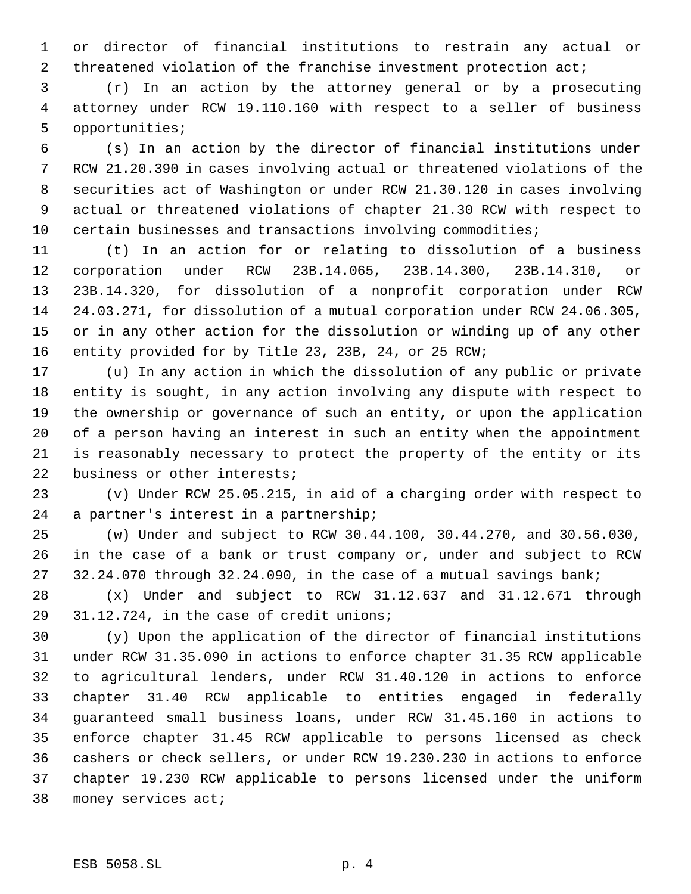or director of financial institutions to restrain any actual or 2 threatened violation of the franchise investment protection act;

 (r) In an action by the attorney general or by a prosecuting attorney under RCW 19.110.160 with respect to a seller of business opportunities;

 (s) In an action by the director of financial institutions under RCW 21.20.390 in cases involving actual or threatened violations of the securities act of Washington or under RCW 21.30.120 in cases involving actual or threatened violations of chapter 21.30 RCW with respect to certain businesses and transactions involving commodities;

 (t) In an action for or relating to dissolution of a business corporation under RCW 23B.14.065, 23B.14.300, 23B.14.310, or 23B.14.320, for dissolution of a nonprofit corporation under RCW 24.03.271, for dissolution of a mutual corporation under RCW 24.06.305, or in any other action for the dissolution or winding up of any other entity provided for by Title 23, 23B, 24, or 25 RCW;

 (u) In any action in which the dissolution of any public or private entity is sought, in any action involving any dispute with respect to the ownership or governance of such an entity, or upon the application of a person having an interest in such an entity when the appointment is reasonably necessary to protect the property of the entity or its business or other interests;

 (v) Under RCW 25.05.215, in aid of a charging order with respect to a partner's interest in a partnership;

 (w) Under and subject to RCW 30.44.100, 30.44.270, and 30.56.030, in the case of a bank or trust company or, under and subject to RCW 32.24.070 through 32.24.090, in the case of a mutual savings bank;

 (x) Under and subject to RCW 31.12.637 and 31.12.671 through 31.12.724, in the case of credit unions;

 (y) Upon the application of the director of financial institutions under RCW 31.35.090 in actions to enforce chapter 31.35 RCW applicable to agricultural lenders, under RCW 31.40.120 in actions to enforce chapter 31.40 RCW applicable to entities engaged in federally guaranteed small business loans, under RCW 31.45.160 in actions to enforce chapter 31.45 RCW applicable to persons licensed as check cashers or check sellers, or under RCW 19.230.230 in actions to enforce chapter 19.230 RCW applicable to persons licensed under the uniform money services act;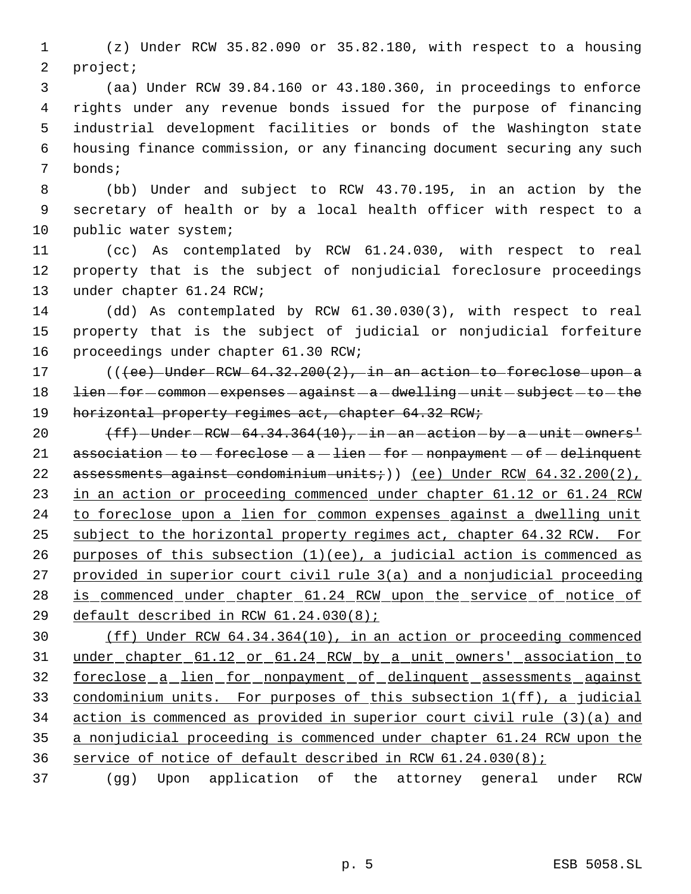(z) Under RCW 35.82.090 or 35.82.180, with respect to a housing project;

 (aa) Under RCW 39.84.160 or 43.180.360, in proceedings to enforce rights under any revenue bonds issued for the purpose of financing industrial development facilities or bonds of the Washington state housing finance commission, or any financing document securing any such bonds;

 (bb) Under and subject to RCW 43.70.195, in an action by the secretary of health or by a local health officer with respect to a public water system;

 (cc) As contemplated by RCW 61.24.030, with respect to real property that is the subject of nonjudicial foreclosure proceedings under chapter 61.24 RCW;

 (dd) As contemplated by RCW 61.30.030(3), with respect to real property that is the subject of judicial or nonjudicial forfeiture proceedings under chapter 61.30 RCW;

17 (((ee) Under RCW 64.32.200(2), in an action to foreclose upon a 18 lien for common expenses against a dwelling unit subject to the 19 horizontal property regimes act, chapter 64.32 RCW;

 $(ff)-\text{Under}-RCW-64.34.364(10), -\text{in-an-action}$  -  $\text{a}$  -  $\text{unit}-\text{owners}$ '  $\alpha$ ssociation  $-\epsilon$ o  $-\epsilon$ oreclose  $-\alpha$   $-\epsilon$ ien  $-\epsilon$ or  $-\epsilon$ nonpayment  $-\epsilon$ f  $-\epsilon$ delinquent 22 assessments against condominium units;)) (ee) Under RCW  $64.32.200(2)$ , 23 in an action or proceeding commenced under chapter 61.12 or 61.24 RCW to foreclose upon a lien for common expenses against a dwelling unit subject to the horizontal property regimes act, chapter 64.32 RCW. For 26 purposes of this subsection  $(1)(ee)$ , a judicial action is commenced as provided in superior court civil rule 3(a) and a nonjudicial proceeding 28 is commenced under chapter 61.24 RCW upon the service of notice of default described in RCW 61.24.030(8);

 (ff) Under RCW 64.34.364(10), in an action or proceeding commenced under chapter 61.12 or 61.24 RCW by a unit owners' association to foreclose a lien for nonpayment of delinquent assessments against condominium units. For purposes of this subsection 1(ff), a judicial action is commenced as provided in superior court civil rule (3)(a) and a nonjudicial proceeding is commenced under chapter 61.24 RCW upon the service of notice of default described in RCW 61.24.030(8);

(gg) Upon application of the attorney general under RCW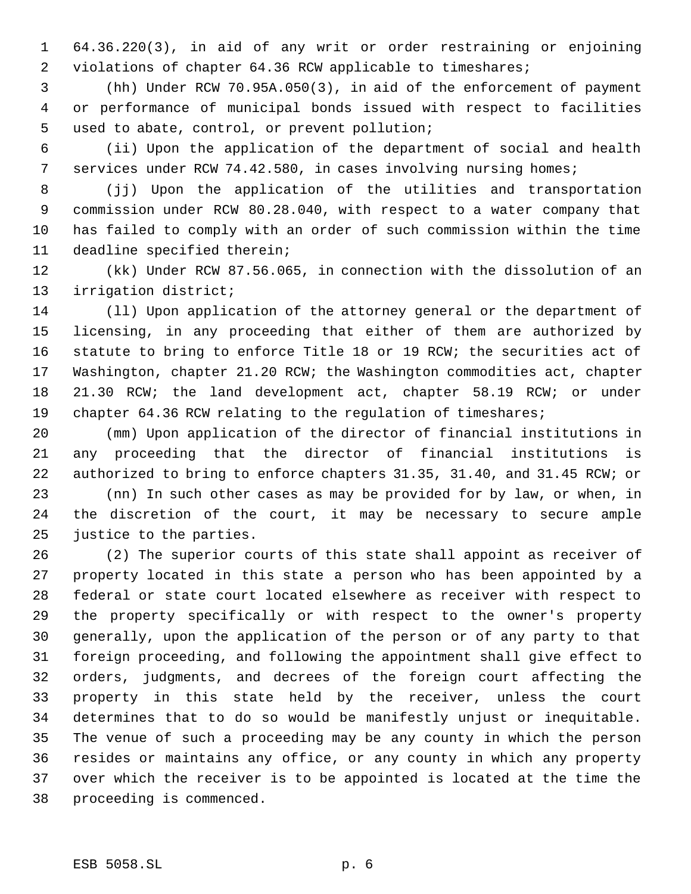64.36.220(3), in aid of any writ or order restraining or enjoining violations of chapter 64.36 RCW applicable to timeshares;

 (hh) Under RCW 70.95A.050(3), in aid of the enforcement of payment or performance of municipal bonds issued with respect to facilities used to abate, control, or prevent pollution;

 (ii) Upon the application of the department of social and health services under RCW 74.42.580, in cases involving nursing homes;

 (jj) Upon the application of the utilities and transportation commission under RCW 80.28.040, with respect to a water company that has failed to comply with an order of such commission within the time deadline specified therein;

 (kk) Under RCW 87.56.065, in connection with the dissolution of an irrigation district;

 (ll) Upon application of the attorney general or the department of licensing, in any proceeding that either of them are authorized by statute to bring to enforce Title 18 or 19 RCW; the securities act of Washington, chapter 21.20 RCW; the Washington commodities act, chapter 21.30 RCW; the land development act, chapter 58.19 RCW; or under 19 chapter 64.36 RCW relating to the regulation of timeshares;

 (mm) Upon application of the director of financial institutions in any proceeding that the director of financial institutions is authorized to bring to enforce chapters 31.35, 31.40, and 31.45 RCW; or

 (nn) In such other cases as may be provided for by law, or when, in the discretion of the court, it may be necessary to secure ample justice to the parties.

 (2) The superior courts of this state shall appoint as receiver of property located in this state a person who has been appointed by a federal or state court located elsewhere as receiver with respect to the property specifically or with respect to the owner's property generally, upon the application of the person or of any party to that foreign proceeding, and following the appointment shall give effect to orders, judgments, and decrees of the foreign court affecting the property in this state held by the receiver, unless the court determines that to do so would be manifestly unjust or inequitable. The venue of such a proceeding may be any county in which the person resides or maintains any office, or any county in which any property over which the receiver is to be appointed is located at the time the proceeding is commenced.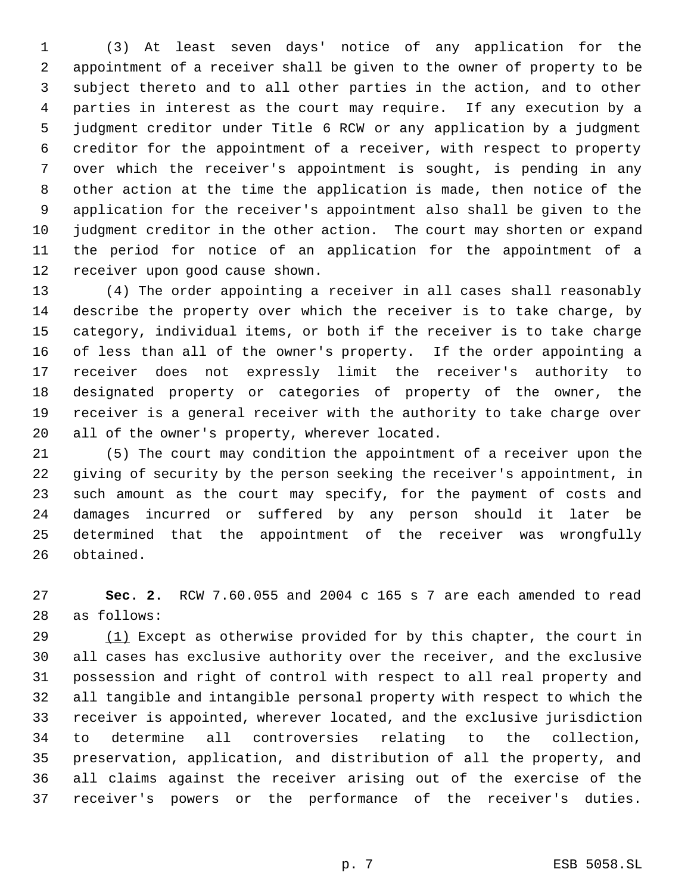(3) At least seven days' notice of any application for the appointment of a receiver shall be given to the owner of property to be subject thereto and to all other parties in the action, and to other parties in interest as the court may require. If any execution by a judgment creditor under Title 6 RCW or any application by a judgment creditor for the appointment of a receiver, with respect to property over which the receiver's appointment is sought, is pending in any other action at the time the application is made, then notice of the application for the receiver's appointment also shall be given to the judgment creditor in the other action. The court may shorten or expand the period for notice of an application for the appointment of a receiver upon good cause shown.

 (4) The order appointing a receiver in all cases shall reasonably describe the property over which the receiver is to take charge, by category, individual items, or both if the receiver is to take charge of less than all of the owner's property. If the order appointing a receiver does not expressly limit the receiver's authority to designated property or categories of property of the owner, the receiver is a general receiver with the authority to take charge over all of the owner's property, wherever located.

 (5) The court may condition the appointment of a receiver upon the giving of security by the person seeking the receiver's appointment, in such amount as the court may specify, for the payment of costs and damages incurred or suffered by any person should it later be determined that the appointment of the receiver was wrongfully obtained.

 **Sec. 2.** RCW 7.60.055 and 2004 c 165 s 7 are each amended to read as follows:

29 (1) Except as otherwise provided for by this chapter, the court in all cases has exclusive authority over the receiver, and the exclusive possession and right of control with respect to all real property and all tangible and intangible personal property with respect to which the receiver is appointed, wherever located, and the exclusive jurisdiction to determine all controversies relating to the collection, preservation, application, and distribution of all the property, and all claims against the receiver arising out of the exercise of the receiver's powers or the performance of the receiver's duties.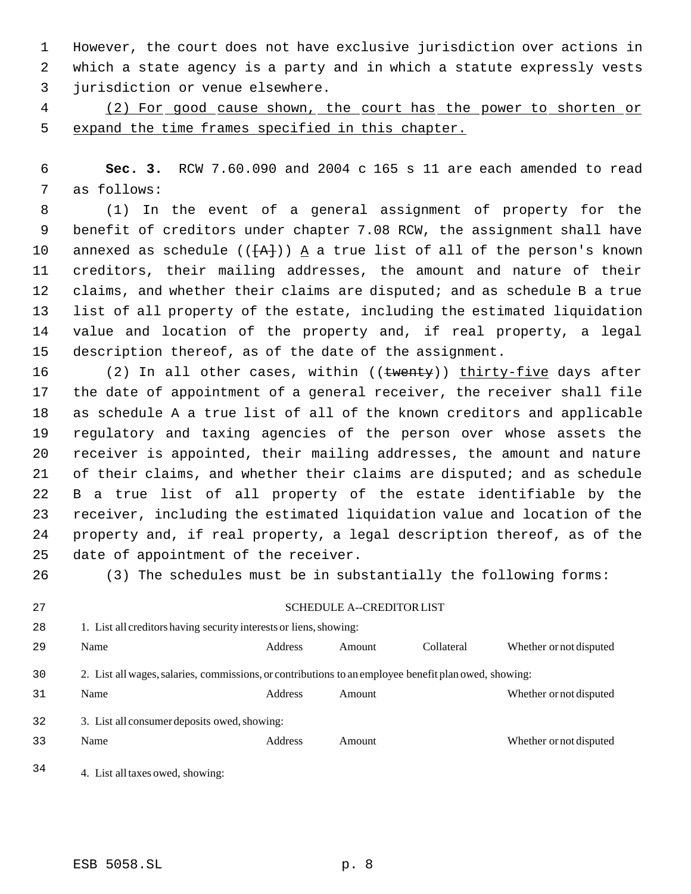However, the court does not have exclusive jurisdiction over actions in which a state agency is a party and in which a statute expressly vests jurisdiction or venue elsewhere.

 (2) For good cause shown, the court has the power to shorten or expand the time frames specified in this chapter.

 **Sec. 3.** RCW 7.60.090 and 2004 c 165 s 11 are each amended to read as follows:

 (1) In the event of a general assignment of property for the benefit of creditors under chapter 7.08 RCW, the assignment shall have 10 annexed as schedule ( $(\overline{+A}+)$ ) A a true list of all of the person's known creditors, their mailing addresses, the amount and nature of their claims, and whether their claims are disputed; and as schedule B a true list of all property of the estate, including the estimated liquidation value and location of the property and, if real property, a legal description thereof, as of the date of the assignment.

16 (2) In all other cases, within ((twenty)) thirty-five days after the date of appointment of a general receiver, the receiver shall file as schedule A a true list of all of the known creditors and applicable regulatory and taxing agencies of the person over whose assets the receiver is appointed, their mailing addresses, the amount and nature of their claims, and whether their claims are disputed; and as schedule B a true list of all property of the estate identifiable by the receiver, including the estimated liquidation value and location of the property and, if real property, a legal description thereof, as of the date of appointment of the receiver.

(3) The schedules must be in substantially the following forms:

SCHEDULE A--CREDITOR LIST

28 1. List all creditors having security interests or liens, showing: 29 Name Address Amount Collateral Whether or not disputed 2. List all wages, salaries, commissions, or contributions to an employee benefit plan owed, showing: 31 Name Address Amount Whether or not disputed 3. List all consumer deposits owed, showing: Name Address Amount Whether or not disputed

4. List all taxes owed, showing: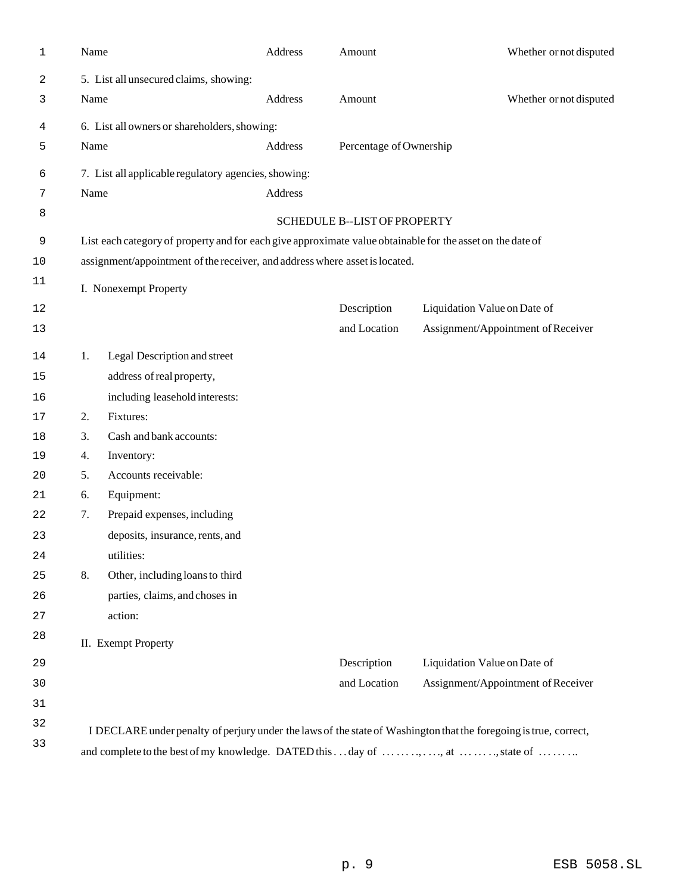| 1  | Name                                                                              |                                                                                                            | Address | Amount                       | Whether or not disputed                                                                                           |  |  |  |
|----|-----------------------------------------------------------------------------------|------------------------------------------------------------------------------------------------------------|---------|------------------------------|-------------------------------------------------------------------------------------------------------------------|--|--|--|
| 2  |                                                                                   | 5. List all unsecured claims, showing:                                                                     |         |                              |                                                                                                                   |  |  |  |
| 3  | Name                                                                              |                                                                                                            | Address | Amount                       | Whether or not disputed                                                                                           |  |  |  |
| 4  | 6. List all owners or shareholders, showing:                                      |                                                                                                            |         |                              |                                                                                                                   |  |  |  |
| 5  | Name                                                                              |                                                                                                            | Address | Percentage of Ownership      |                                                                                                                   |  |  |  |
| 6  |                                                                                   | 7. List all applicable regulatory agencies, showing:                                                       |         |                              |                                                                                                                   |  |  |  |
| 7  | Name                                                                              |                                                                                                            | Address |                              |                                                                                                                   |  |  |  |
| 8  |                                                                                   |                                                                                                            |         | SCHEDULE B--LIST OF PROPERTY |                                                                                                                   |  |  |  |
| 9  |                                                                                   | List each category of property and for each give approximate value obtainable for the asset on the date of |         |                              |                                                                                                                   |  |  |  |
| 10 | assignment/appointment of the receiver, and address where asset is located.       |                                                                                                            |         |                              |                                                                                                                   |  |  |  |
| 11 |                                                                                   |                                                                                                            |         |                              |                                                                                                                   |  |  |  |
|    |                                                                                   | I. Nonexempt Property                                                                                      |         | Description                  |                                                                                                                   |  |  |  |
| 12 |                                                                                   |                                                                                                            |         | and Location                 | Liquidation Value on Date of<br>Assignment/Appointment of Receiver                                                |  |  |  |
| 13 |                                                                                   |                                                                                                            |         |                              |                                                                                                                   |  |  |  |
| 14 | 1.                                                                                | Legal Description and street                                                                               |         |                              |                                                                                                                   |  |  |  |
| 15 |                                                                                   | address of real property,                                                                                  |         |                              |                                                                                                                   |  |  |  |
| 16 |                                                                                   | including leasehold interests:                                                                             |         |                              |                                                                                                                   |  |  |  |
| 17 | 2.                                                                                | Fixtures:                                                                                                  |         |                              |                                                                                                                   |  |  |  |
| 18 | 3.                                                                                | Cash and bank accounts:                                                                                    |         |                              |                                                                                                                   |  |  |  |
| 19 | 4.                                                                                | Inventory:                                                                                                 |         |                              |                                                                                                                   |  |  |  |
| 20 | 5.                                                                                | Accounts receivable:                                                                                       |         |                              |                                                                                                                   |  |  |  |
| 21 | 6.                                                                                | Equipment:                                                                                                 |         |                              |                                                                                                                   |  |  |  |
| 22 | 7.                                                                                | Prepaid expenses, including                                                                                |         |                              |                                                                                                                   |  |  |  |
| 23 |                                                                                   | deposits, insurance, rents, and                                                                            |         |                              |                                                                                                                   |  |  |  |
| 24 |                                                                                   | utilities:                                                                                                 |         |                              |                                                                                                                   |  |  |  |
| 25 | 8.                                                                                | Other, including loans to third                                                                            |         |                              |                                                                                                                   |  |  |  |
| 26 |                                                                                   | parties, claims, and choses in                                                                             |         |                              |                                                                                                                   |  |  |  |
| 27 |                                                                                   | action:                                                                                                    |         |                              |                                                                                                                   |  |  |  |
| 28 |                                                                                   | II. Exempt Property                                                                                        |         |                              |                                                                                                                   |  |  |  |
| 29 |                                                                                   |                                                                                                            |         | Description                  | Liquidation Value on Date of                                                                                      |  |  |  |
| 30 |                                                                                   |                                                                                                            |         | and Location                 | Assignment/Appointment of Receiver                                                                                |  |  |  |
| 31 |                                                                                   |                                                                                                            |         |                              |                                                                                                                   |  |  |  |
| 32 |                                                                                   |                                                                                                            |         |                              | I DECLARE under penalty of perjury under the laws of the state of Washington that the foregoing is true, correct, |  |  |  |
| 33 | and complete to the best of my knowledge. DATED this day of  ,  , at   , state of |                                                                                                            |         |                              |                                                                                                                   |  |  |  |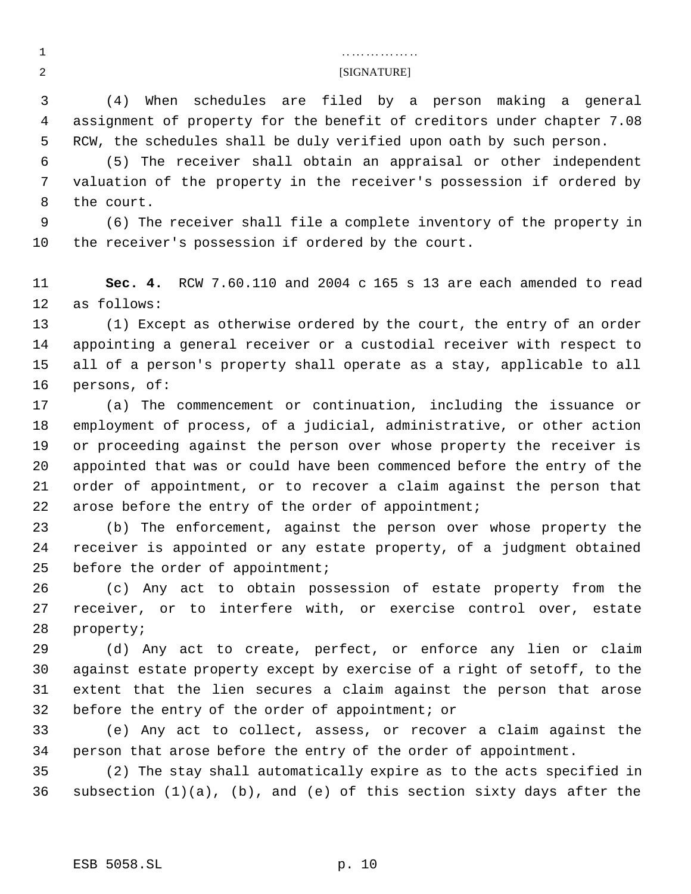# . . . . . . . . . . . . . . . . [SIGNATURE]

 (4) When schedules are filed by a person making a general assignment of property for the benefit of creditors under chapter 7.08 RCW, the schedules shall be duly verified upon oath by such person.

 (5) The receiver shall obtain an appraisal or other independent valuation of the property in the receiver's possession if ordered by the court.

 (6) The receiver shall file a complete inventory of the property in the receiver's possession if ordered by the court.

 **Sec. 4.** RCW 7.60.110 and 2004 c 165 s 13 are each amended to read as follows:

 (1) Except as otherwise ordered by the court, the entry of an order appointing a general receiver or a custodial receiver with respect to all of a person's property shall operate as a stay, applicable to all persons, of:

 (a) The commencement or continuation, including the issuance or employment of process, of a judicial, administrative, or other action or proceeding against the person over whose property the receiver is appointed that was or could have been commenced before the entry of the order of appointment, or to recover a claim against the person that arose before the entry of the order of appointment;

 (b) The enforcement, against the person over whose property the receiver is appointed or any estate property, of a judgment obtained 25 before the order of appointment;

 (c) Any act to obtain possession of estate property from the receiver, or to interfere with, or exercise control over, estate property;

 (d) Any act to create, perfect, or enforce any lien or claim against estate property except by exercise of a right of setoff, to the extent that the lien secures a claim against the person that arose before the entry of the order of appointment; or

 (e) Any act to collect, assess, or recover a claim against the person that arose before the entry of the order of appointment.

 (2) The stay shall automatically expire as to the acts specified in subsection (1)(a), (b), and (e) of this section sixty days after the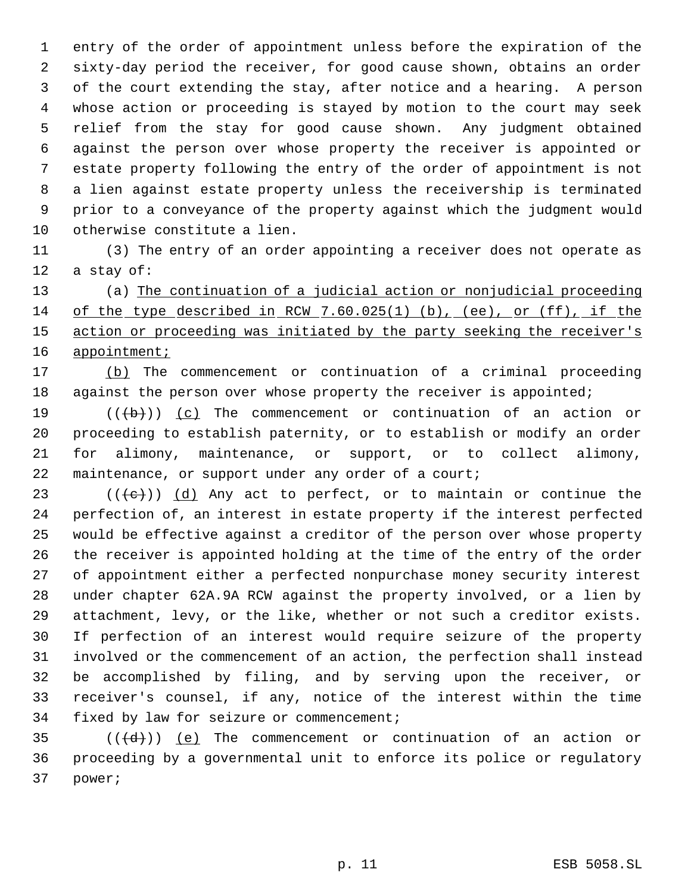entry of the order of appointment unless before the expiration of the sixty-day period the receiver, for good cause shown, obtains an order of the court extending the stay, after notice and a hearing. A person whose action or proceeding is stayed by motion to the court may seek relief from the stay for good cause shown. Any judgment obtained against the person over whose property the receiver is appointed or estate property following the entry of the order of appointment is not a lien against estate property unless the receivership is terminated prior to a conveyance of the property against which the judgment would otherwise constitute a lien.

 (3) The entry of an order appointing a receiver does not operate as a stay of:

 (a) The continuation of a judicial action or nonjudicial proceeding of the type described in RCW 7.60.025(1) (b), (ee), or (ff), if the 15 action or proceeding was initiated by the party seeking the receiver's 16 appointment;

 (b) The commencement or continuation of a criminal proceeding 18 against the person over whose property the receiver is appointed;

 $((+b))$   $(c)$  The commencement or continuation of an action or proceeding to establish paternity, or to establish or modify an order for alimony, maintenance, or support, or to collect alimony, maintenance, or support under any order of a court;

23 ( $(\langle e \rangle)$ ) (d) Any act to perfect, or to maintain or continue the perfection of, an interest in estate property if the interest perfected would be effective against a creditor of the person over whose property the receiver is appointed holding at the time of the entry of the order of appointment either a perfected nonpurchase money security interest under chapter 62A.9A RCW against the property involved, or a lien by attachment, levy, or the like, whether or not such a creditor exists. If perfection of an interest would require seizure of the property involved or the commencement of an action, the perfection shall instead be accomplished by filing, and by serving upon the receiver, or receiver's counsel, if any, notice of the interest within the time fixed by law for seizure or commencement;

35  $((\overline{d}))$  (e) The commencement or continuation of an action or proceeding by a governmental unit to enforce its police or regulatory power;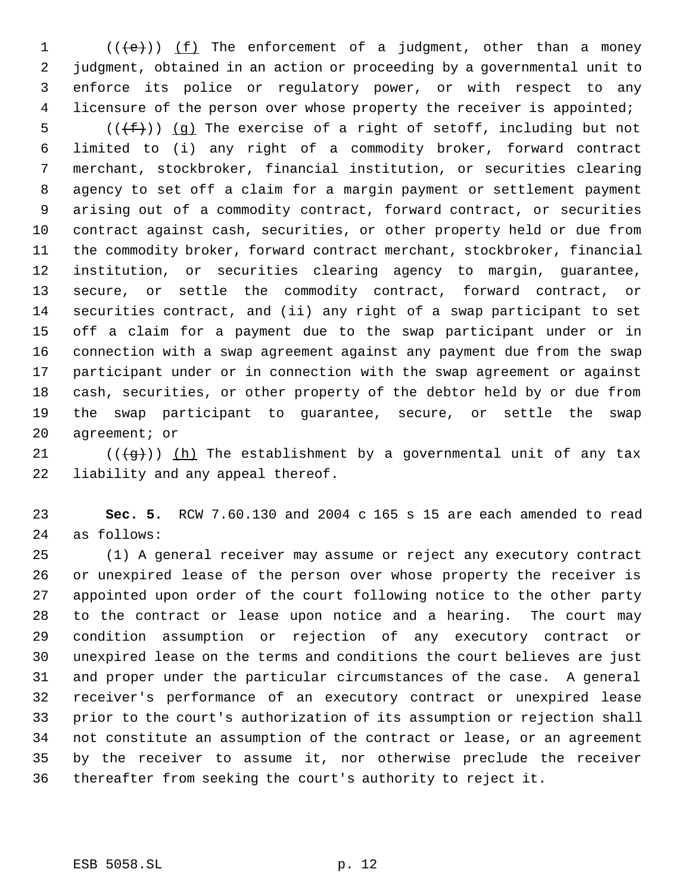$((\left\lbrace e \right\rbrace))$  (f) The enforcement of a judgment, other than a money judgment, obtained in an action or proceeding by a governmental unit to enforce its police or regulatory power, or with respect to any 4 licensure of the person over whose property the receiver is appointed;

 $((\text{f}))(q)$  The exercise of a right of setoff, including but not limited to (i) any right of a commodity broker, forward contract merchant, stockbroker, financial institution, or securities clearing agency to set off a claim for a margin payment or settlement payment arising out of a commodity contract, forward contract, or securities contract against cash, securities, or other property held or due from the commodity broker, forward contract merchant, stockbroker, financial institution, or securities clearing agency to margin, guarantee, secure, or settle the commodity contract, forward contract, or securities contract, and (ii) any right of a swap participant to set off a claim for a payment due to the swap participant under or in connection with a swap agreement against any payment due from the swap participant under or in connection with the swap agreement or against cash, securities, or other property of the debtor held by or due from the swap participant to guarantee, secure, or settle the swap agreement; or

21 ( $(\overline{q})$ ) (h) The establishment by a governmental unit of any tax liability and any appeal thereof.

 **Sec. 5.** RCW 7.60.130 and 2004 c 165 s 15 are each amended to read as follows:

 (1) A general receiver may assume or reject any executory contract or unexpired lease of the person over whose property the receiver is appointed upon order of the court following notice to the other party to the contract or lease upon notice and a hearing. The court may condition assumption or rejection of any executory contract or unexpired lease on the terms and conditions the court believes are just and proper under the particular circumstances of the case. A general receiver's performance of an executory contract or unexpired lease prior to the court's authorization of its assumption or rejection shall not constitute an assumption of the contract or lease, or an agreement by the receiver to assume it, nor otherwise preclude the receiver thereafter from seeking the court's authority to reject it.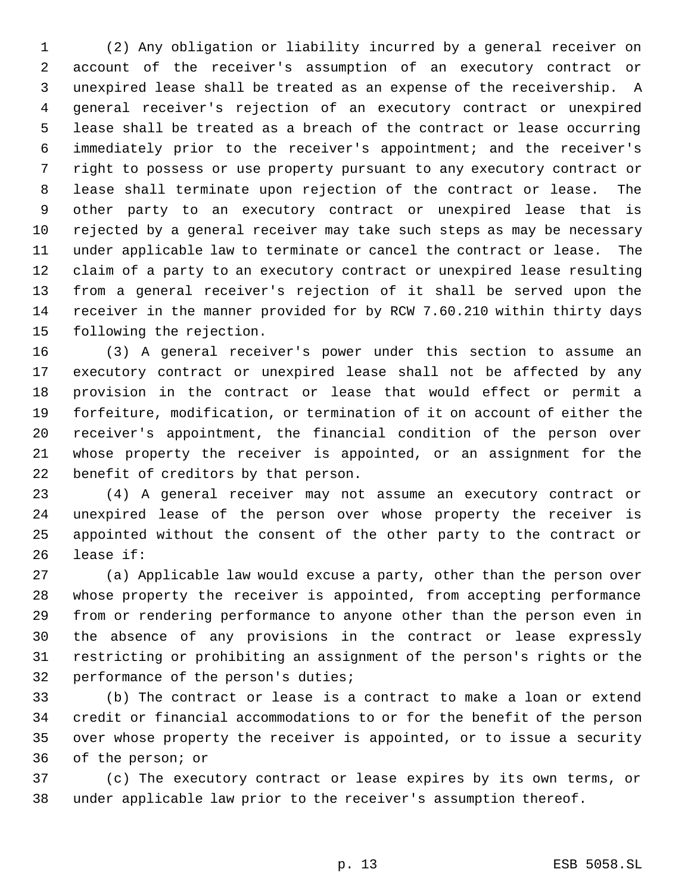(2) Any obligation or liability incurred by a general receiver on account of the receiver's assumption of an executory contract or unexpired lease shall be treated as an expense of the receivership. A general receiver's rejection of an executory contract or unexpired lease shall be treated as a breach of the contract or lease occurring immediately prior to the receiver's appointment; and the receiver's right to possess or use property pursuant to any executory contract or lease shall terminate upon rejection of the contract or lease. The other party to an executory contract or unexpired lease that is rejected by a general receiver may take such steps as may be necessary under applicable law to terminate or cancel the contract or lease. The claim of a party to an executory contract or unexpired lease resulting from a general receiver's rejection of it shall be served upon the receiver in the manner provided for by RCW 7.60.210 within thirty days following the rejection.

 (3) A general receiver's power under this section to assume an executory contract or unexpired lease shall not be affected by any provision in the contract or lease that would effect or permit a forfeiture, modification, or termination of it on account of either the receiver's appointment, the financial condition of the person over whose property the receiver is appointed, or an assignment for the benefit of creditors by that person.

 (4) A general receiver may not assume an executory contract or unexpired lease of the person over whose property the receiver is appointed without the consent of the other party to the contract or lease if:

 (a) Applicable law would excuse a party, other than the person over whose property the receiver is appointed, from accepting performance from or rendering performance to anyone other than the person even in the absence of any provisions in the contract or lease expressly restricting or prohibiting an assignment of the person's rights or the performance of the person's duties;

 (b) The contract or lease is a contract to make a loan or extend credit or financial accommodations to or for the benefit of the person over whose property the receiver is appointed, or to issue a security of the person; or

 (c) The executory contract or lease expires by its own terms, or under applicable law prior to the receiver's assumption thereof.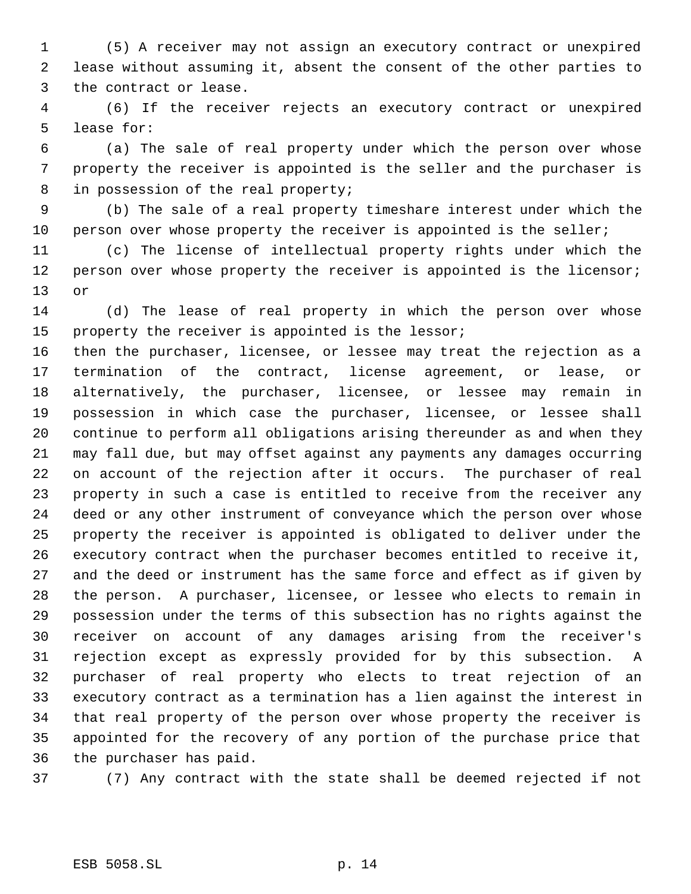(5) A receiver may not assign an executory contract or unexpired lease without assuming it, absent the consent of the other parties to the contract or lease.

 (6) If the receiver rejects an executory contract or unexpired lease for:

 (a) The sale of real property under which the person over whose property the receiver is appointed is the seller and the purchaser is 8 in possession of the real property;

 (b) The sale of a real property timeshare interest under which the person over whose property the receiver is appointed is the seller;

 (c) The license of intellectual property rights under which the 12 person over whose property the receiver is appointed is the licensor; or

 (d) The lease of real property in which the person over whose property the receiver is appointed is the lessor;

 then the purchaser, licensee, or lessee may treat the rejection as a termination of the contract, license agreement, or lease, or alternatively, the purchaser, licensee, or lessee may remain in possession in which case the purchaser, licensee, or lessee shall continue to perform all obligations arising thereunder as and when they may fall due, but may offset against any payments any damages occurring on account of the rejection after it occurs. The purchaser of real property in such a case is entitled to receive from the receiver any deed or any other instrument of conveyance which the person over whose property the receiver is appointed is obligated to deliver under the executory contract when the purchaser becomes entitled to receive it, and the deed or instrument has the same force and effect as if given by the person. A purchaser, licensee, or lessee who elects to remain in possession under the terms of this subsection has no rights against the receiver on account of any damages arising from the receiver's rejection except as expressly provided for by this subsection. A purchaser of real property who elects to treat rejection of an executory contract as a termination has a lien against the interest in that real property of the person over whose property the receiver is appointed for the recovery of any portion of the purchase price that the purchaser has paid.

(7) Any contract with the state shall be deemed rejected if not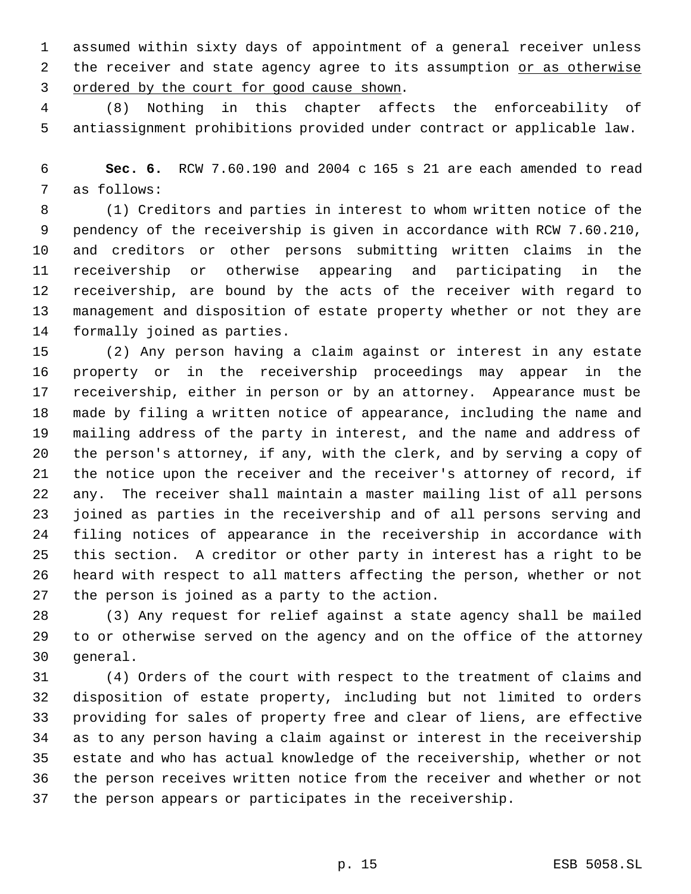assumed within sixty days of appointment of a general receiver unless 2 the receiver and state agency agree to its assumption or as otherwise ordered by the court for good cause shown.

 (8) Nothing in this chapter affects the enforceability of antiassignment prohibitions provided under contract or applicable law.

 **Sec. 6.** RCW 7.60.190 and 2004 c 165 s 21 are each amended to read as follows:

 (1) Creditors and parties in interest to whom written notice of the pendency of the receivership is given in accordance with RCW 7.60.210, and creditors or other persons submitting written claims in the receivership or otherwise appearing and participating in the receivership, are bound by the acts of the receiver with regard to management and disposition of estate property whether or not they are formally joined as parties.

 (2) Any person having a claim against or interest in any estate property or in the receivership proceedings may appear in the receivership, either in person or by an attorney. Appearance must be made by filing a written notice of appearance, including the name and mailing address of the party in interest, and the name and address of the person's attorney, if any, with the clerk, and by serving a copy of the notice upon the receiver and the receiver's attorney of record, if any. The receiver shall maintain a master mailing list of all persons joined as parties in the receivership and of all persons serving and filing notices of appearance in the receivership in accordance with this section. A creditor or other party in interest has a right to be heard with respect to all matters affecting the person, whether or not the person is joined as a party to the action.

 (3) Any request for relief against a state agency shall be mailed to or otherwise served on the agency and on the office of the attorney general.

 (4) Orders of the court with respect to the treatment of claims and disposition of estate property, including but not limited to orders providing for sales of property free and clear of liens, are effective as to any person having a claim against or interest in the receivership estate and who has actual knowledge of the receivership, whether or not the person receives written notice from the receiver and whether or not the person appears or participates in the receivership.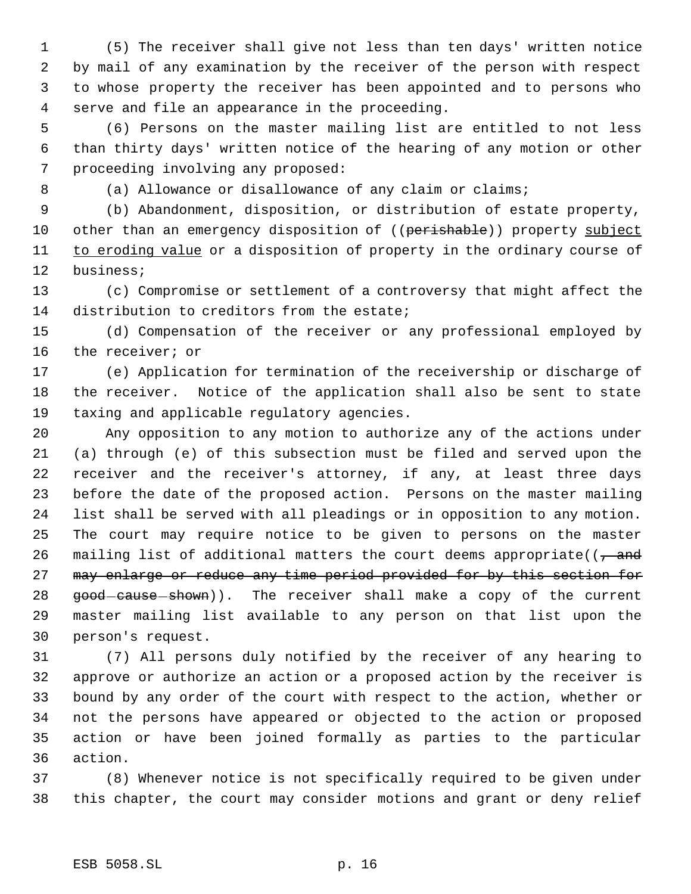(5) The receiver shall give not less than ten days' written notice by mail of any examination by the receiver of the person with respect to whose property the receiver has been appointed and to persons who serve and file an appearance in the proceeding.

 (6) Persons on the master mailing list are entitled to not less than thirty days' written notice of the hearing of any motion or other proceeding involving any proposed:

8 (a) Allowance or disallowance of any claim or claims;

 (b) Abandonment, disposition, or distribution of estate property, 10 other than an emergency disposition of ((perishable)) property subject 11 to eroding value or a disposition of property in the ordinary course of business;

 (c) Compromise or settlement of a controversy that might affect the distribution to creditors from the estate;

 (d) Compensation of the receiver or any professional employed by the receiver; or

 (e) Application for termination of the receivership or discharge of the receiver. Notice of the application shall also be sent to state taxing and applicable regulatory agencies.

 Any opposition to any motion to authorize any of the actions under (a) through (e) of this subsection must be filed and served upon the receiver and the receiver's attorney, if any, at least three days before the date of the proposed action. Persons on the master mailing list shall be served with all pleadings or in opposition to any motion. The court may require notice to be given to persons on the master 26 mailing list of additional matters the court deems appropriate( $\left(\frac{1}{f}\right)$ 27 may enlarge or reduce any time period provided for by this section for 28 good-cause-shown)). The receiver shall make a copy of the current master mailing list available to any person on that list upon the person's request.

 (7) All persons duly notified by the receiver of any hearing to approve or authorize an action or a proposed action by the receiver is bound by any order of the court with respect to the action, whether or not the persons have appeared or objected to the action or proposed action or have been joined formally as parties to the particular action.

 (8) Whenever notice is not specifically required to be given under this chapter, the court may consider motions and grant or deny relief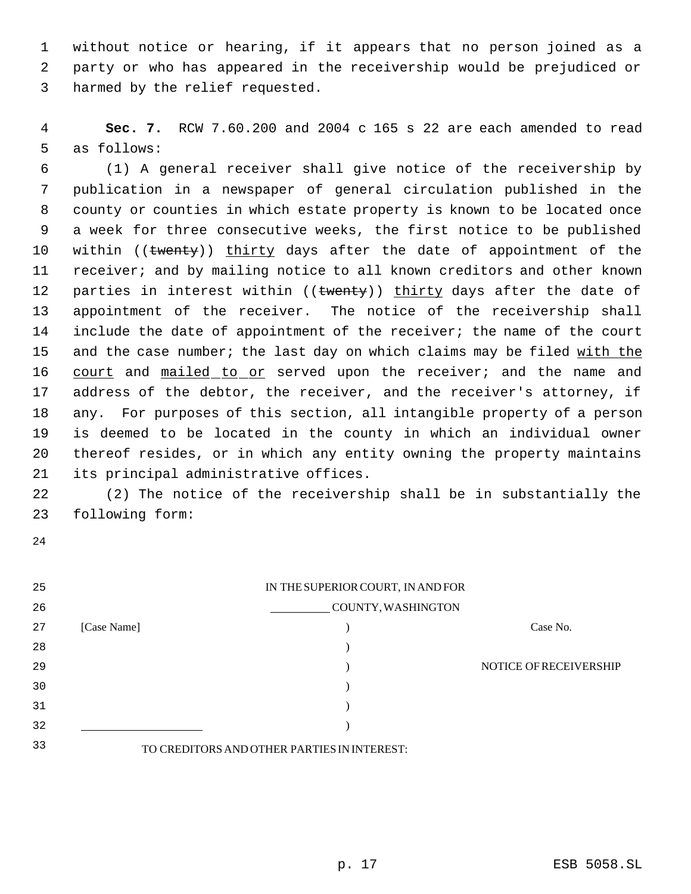without notice or hearing, if it appears that no person joined as a party or who has appeared in the receivership would be prejudiced or harmed by the relief requested.

 **Sec. 7.** RCW 7.60.200 and 2004 c 165 s 22 are each amended to read as follows:

 (1) A general receiver shall give notice of the receivership by publication in a newspaper of general circulation published in the county or counties in which estate property is known to be located once a week for three consecutive weeks, the first notice to be published 10 within ((twenty)) thirty days after the date of appointment of the receiver; and by mailing notice to all known creditors and other known 12 parties in interest within ((twenty)) thirty days after the date of appointment of the receiver. The notice of the receivership shall include the date of appointment of the receiver; the name of the court 15 and the case number; the last day on which claims may be filed with the 16 court and mailed to or served upon the receiver; and the name and address of the debtor, the receiver, and the receiver's attorney, if any. For purposes of this section, all intangible property of a person is deemed to be located in the county in which an individual owner thereof resides, or in which any entity owning the property maintains its principal administrative offices.

 (2) The notice of the receivership shall be in substantially the following form:

| 25 |             | IN THE SUPERIOR COURT, IN AND FOR           |                        |
|----|-------------|---------------------------------------------|------------------------|
| 26 |             | COUNTY, WASHINGTON                          |                        |
| 27 | [Case Name] |                                             | Case No.               |
| 28 |             |                                             |                        |
| 29 |             |                                             | NOTICE OF RECEIVERSHIP |
| 30 |             |                                             |                        |
| 31 |             |                                             |                        |
| 32 |             |                                             |                        |
| 33 |             | TO CREDITORS AND OTHER PARTIES IN INTEREST: |                        |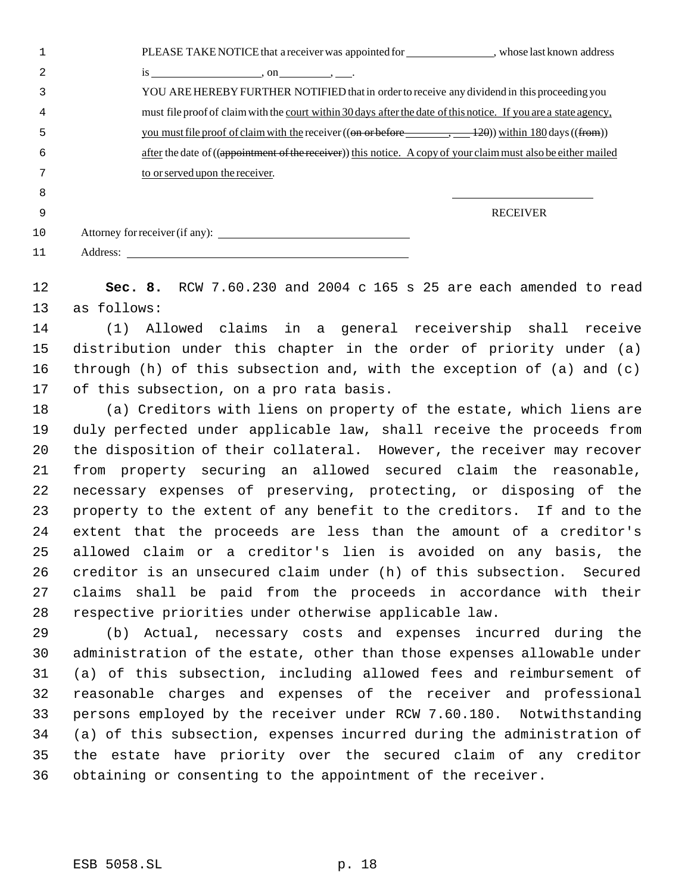|   | PLEASE TAKE NOTICE that a receiver was appointed for<br>, whose last known address                                                   |
|---|--------------------------------------------------------------------------------------------------------------------------------------|
|   | $\overline{18}$ , on , .                                                                                                             |
|   | YOU ARE HEREBY FURTHER NOTIFIED that in order to receive any dividend in this proceeding you                                         |
|   | must file proof of claim with the court within 30 days after the date of this notice. If you are a state agency,                     |
|   | you must file proof of claim with the receiver $((\theta n \theta)^2 - 12\theta)$ within 180 days $((\theta n \theta)^2 - 12\theta)$ |
| 6 | after the date of ((appointment of the receiver)) this notice. A copy of your claim must also be either mailed                       |
|   | to or served upon the receiver.                                                                                                      |
| 8 |                                                                                                                                      |

RECEIVER

| 10 | Attorney for receiver (if any): |
|----|---------------------------------|
| 11 | Address:                        |

 **Sec. 8.** RCW 7.60.230 and 2004 c 165 s 25 are each amended to read as follows:

 (1) Allowed claims in a general receivership shall receive distribution under this chapter in the order of priority under (a) through (h) of this subsection and, with the exception of (a) and (c) of this subsection, on a pro rata basis.

 (a) Creditors with liens on property of the estate, which liens are duly perfected under applicable law, shall receive the proceeds from the disposition of their collateral. However, the receiver may recover from property securing an allowed secured claim the reasonable, necessary expenses of preserving, protecting, or disposing of the property to the extent of any benefit to the creditors. If and to the extent that the proceeds are less than the amount of a creditor's allowed claim or a creditor's lien is avoided on any basis, the creditor is an unsecured claim under (h) of this subsection. Secured claims shall be paid from the proceeds in accordance with their respective priorities under otherwise applicable law.

 (b) Actual, necessary costs and expenses incurred during the administration of the estate, other than those expenses allowable under (a) of this subsection, including allowed fees and reimbursement of reasonable charges and expenses of the receiver and professional persons employed by the receiver under RCW 7.60.180. Notwithstanding (a) of this subsection, expenses incurred during the administration of the estate have priority over the secured claim of any creditor obtaining or consenting to the appointment of the receiver.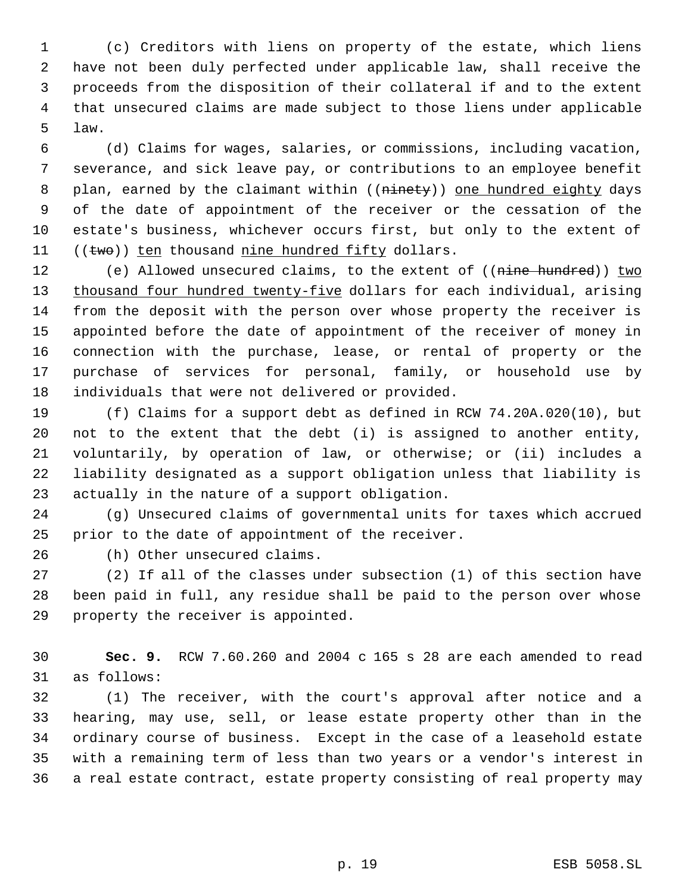(c) Creditors with liens on property of the estate, which liens have not been duly perfected under applicable law, shall receive the proceeds from the disposition of their collateral if and to the extent that unsecured claims are made subject to those liens under applicable law.

 (d) Claims for wages, salaries, or commissions, including vacation, severance, and sick leave pay, or contributions to an employee benefit 8 plan, earned by the claimant within ((ninety)) one hundred eighty days of the date of appointment of the receiver or the cessation of the estate's business, whichever occurs first, but only to the extent of  $((two))$  ten thousand nine hundred fifty dollars.

12 (e) Allowed unsecured claims, to the extent of ((nine hundred)) two 13 thousand four hundred twenty-five dollars for each individual, arising from the deposit with the person over whose property the receiver is appointed before the date of appointment of the receiver of money in connection with the purchase, lease, or rental of property or the purchase of services for personal, family, or household use by individuals that were not delivered or provided.

 (f) Claims for a support debt as defined in RCW 74.20A.020(10), but not to the extent that the debt (i) is assigned to another entity, voluntarily, by operation of law, or otherwise; or (ii) includes a liability designated as a support obligation unless that liability is actually in the nature of a support obligation.

 (g) Unsecured claims of governmental units for taxes which accrued prior to the date of appointment of the receiver.

(h) Other unsecured claims.

 (2) If all of the classes under subsection (1) of this section have been paid in full, any residue shall be paid to the person over whose property the receiver is appointed.

 **Sec. 9.** RCW 7.60.260 and 2004 c 165 s 28 are each amended to read as follows:

 (1) The receiver, with the court's approval after notice and a hearing, may use, sell, or lease estate property other than in the ordinary course of business. Except in the case of a leasehold estate with a remaining term of less than two years or a vendor's interest in a real estate contract, estate property consisting of real property may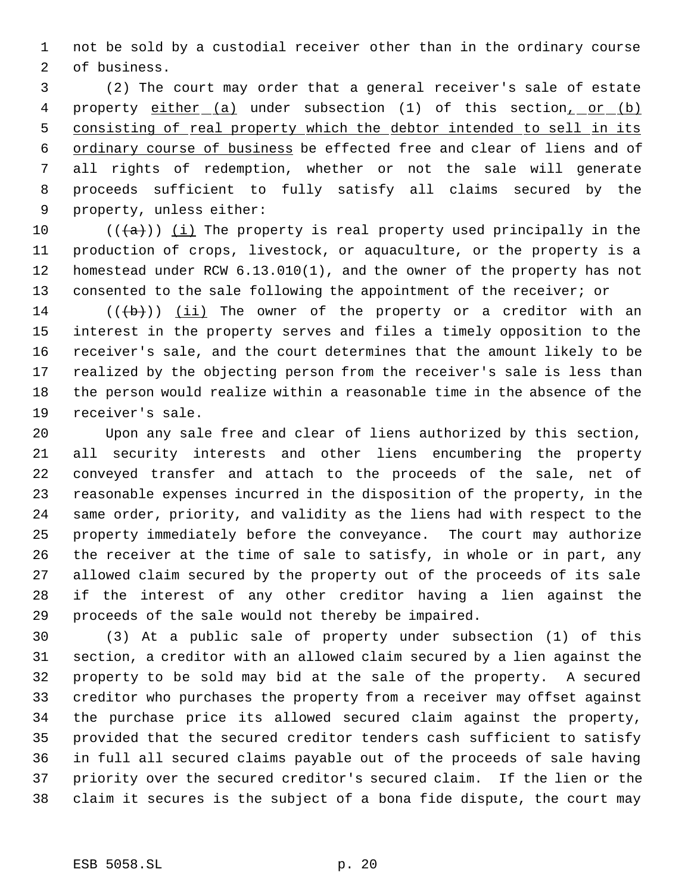not be sold by a custodial receiver other than in the ordinary course of business.

 (2) The court may order that a general receiver's sale of estate 4 property either (a) under subsection (1) of this section, or (b) 5 consisting of real property which the debtor intended to sell in its ordinary course of business be effected free and clear of liens and of all rights of redemption, whether or not the sale will generate proceeds sufficient to fully satisfy all claims secured by the property, unless either:

 $((+a))$  ( $(i)$  The property is real property used principally in the production of crops, livestock, or aquaculture, or the property is a homestead under RCW 6.13.010(1), and the owner of the property has not consented to the sale following the appointment of the receiver; or

 $((\{b\})$  (ii) The owner of the property or a creditor with an interest in the property serves and files a timely opposition to the receiver's sale, and the court determines that the amount likely to be realized by the objecting person from the receiver's sale is less than the person would realize within a reasonable time in the absence of the receiver's sale.

 Upon any sale free and clear of liens authorized by this section, all security interests and other liens encumbering the property conveyed transfer and attach to the proceeds of the sale, net of reasonable expenses incurred in the disposition of the property, in the same order, priority, and validity as the liens had with respect to the property immediately before the conveyance. The court may authorize the receiver at the time of sale to satisfy, in whole or in part, any allowed claim secured by the property out of the proceeds of its sale if the interest of any other creditor having a lien against the proceeds of the sale would not thereby be impaired.

 (3) At a public sale of property under subsection (1) of this section, a creditor with an allowed claim secured by a lien against the property to be sold may bid at the sale of the property. A secured creditor who purchases the property from a receiver may offset against the purchase price its allowed secured claim against the property, provided that the secured creditor tenders cash sufficient to satisfy in full all secured claims payable out of the proceeds of sale having priority over the secured creditor's secured claim. If the lien or the claim it secures is the subject of a bona fide dispute, the court may